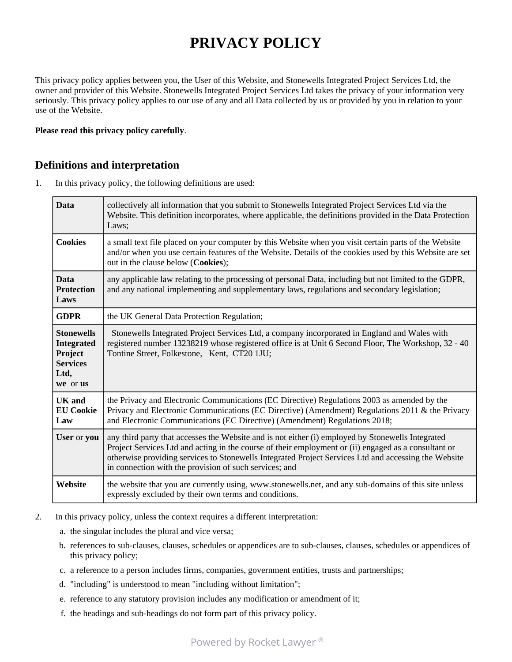# **PRIVACY POLICY**

This privacy policy applies between you, the User of this Website, and Stonewells Integrated Project Services Ltd, the owner and provider of this Website. Stonewells Integrated Project Services Ltd takes the privacy of your information very seriously. This privacy policy applies to our use of any and all Data collected by us or provided by you in relation to your use of the Website.

#### **Please read this privacy policy carefully**.

#### **Definitions and interpretation**

1. In this privacy policy, the following definitions are used:

| <b>Data</b>                                                                              | collectively all information that you submit to Stonewells Integrated Project Services Ltd via the<br>Website. This definition incorporates, where applicable, the definitions provided in the Data Protection<br>Laws:                                                                                                                                                     |
|------------------------------------------------------------------------------------------|-----------------------------------------------------------------------------------------------------------------------------------------------------------------------------------------------------------------------------------------------------------------------------------------------------------------------------------------------------------------------------|
| <b>Cookies</b>                                                                           | a small text file placed on your computer by this Website when you visit certain parts of the Website<br>and/or when you use certain features of the Website. Details of the cookies used by this Website are set<br>out in the clause below (Cookies);                                                                                                                     |
| <b>Data</b><br><b>Protection</b><br>Laws                                                 | any applicable law relating to the processing of personal Data, including but not limited to the GDPR,<br>and any national implementing and supplementary laws, regulations and secondary legislation;                                                                                                                                                                      |
| <b>GDPR</b>                                                                              | the UK General Data Protection Regulation;                                                                                                                                                                                                                                                                                                                                  |
| <b>Stonewells</b><br><b>Integrated</b><br>Project<br><b>Services</b><br>Ltd,<br>we or us | Stonewells Integrated Project Services Ltd, a company incorporated in England and Wales with<br>registered number 13238219 whose registered office is at Unit 6 Second Floor, The Workshop, 32 - 40<br>Tontine Street, Folkestone, Kent, CT20 1JU;                                                                                                                          |
| <b>UK</b> and<br><b>EU Cookie</b><br>Law                                                 | the Privacy and Electronic Communications (EC Directive) Regulations 2003 as amended by the<br>Privacy and Electronic Communications (EC Directive) (Amendment) Regulations 2011 & the Privacy<br>and Electronic Communications (EC Directive) (Amendment) Regulations 2018;                                                                                                |
| User or you                                                                              | any third party that accesses the Website and is not either (i) employed by Stonewells Integrated<br>Project Services Ltd and acting in the course of their employment or (ii) engaged as a consultant or<br>otherwise providing services to Stonewells Integrated Project Services Ltd and accessing the Website<br>in connection with the provision of such services; and |
| Website                                                                                  | the website that you are currently using, www.stonewells.net, and any sub-domains of this site unless<br>expressly excluded by their own terms and conditions.                                                                                                                                                                                                              |

- 2. In this privacy policy, unless the context requires a different interpretation:
	- a. the singular includes the plural and vice versa;
	- b. references to sub-clauses, clauses, schedules or appendices are to sub-clauses, clauses, schedules or appendices of this privacy policy;
	- c. a reference to a person includes firms, companies, government entities, trusts and partnerships;
	- d. "including" is understood to mean "including without limitation";
	- e. reference to any statutory provision includes any modification or amendment of it;
	- f. the headings and sub-headings do not form part of this privacy policy.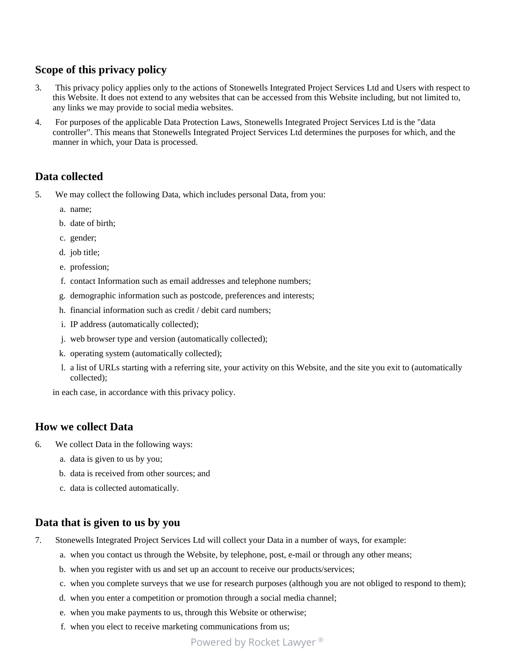# **Scope of this privacy policy**

- 3. This privacy policy applies only to the actions of Stonewells Integrated Project Services Ltd and Users with respect to this Website. It does not extend to any websites that can be accessed from this Website including, but not limited to, any links we may provide to social media websites.
- 4. For purposes of the applicable Data Protection Laws, Stonewells Integrated Project Services Ltd is the "data controller". This means that Stonewells Integrated Project Services Ltd determines the purposes for which, and the manner in which, your Data is processed.

#### **Data collected**

- 5. We may collect the following Data, which includes personal Data, from you:
	- a. name;
	- b. date of birth;
	- c. gender;
	- d. job title;
	- e. profession;
	- f. contact Information such as email addresses and telephone numbers;
	- g. demographic information such as postcode, preferences and interests;
	- h. financial information such as credit / debit card numbers;
	- i. IP address (automatically collected);
	- j. web browser type and version (automatically collected);
	- k. operating system (automatically collected);
	- l. a list of URLs starting with a referring site, your activity on this Website, and the site you exit to (automatically collected);

in each case, in accordance with this privacy policy.

#### **How we collect Data**

- 6. We collect Data in the following ways:
	- a. data is given to us by you;
	- b. data is received from other sources; and
	- c. data is collected automatically.

#### **Data that is given to us by you**

- 7. Stonewells Integrated Project Services Ltd will collect your Data in a number of ways, for example:
	- a. when you contact us through the Website, by telephone, post, e-mail or through any other means;
	- b. when you register with us and set up an account to receive our products/services;
	- c. when you complete surveys that we use for research purposes (although you are not obliged to respond to them);
	- d. when you enter a competition or promotion through a social media channel;
	- e. when you make payments to us, through this Website or otherwise;
	- f. when you elect to receive marketing communications from us;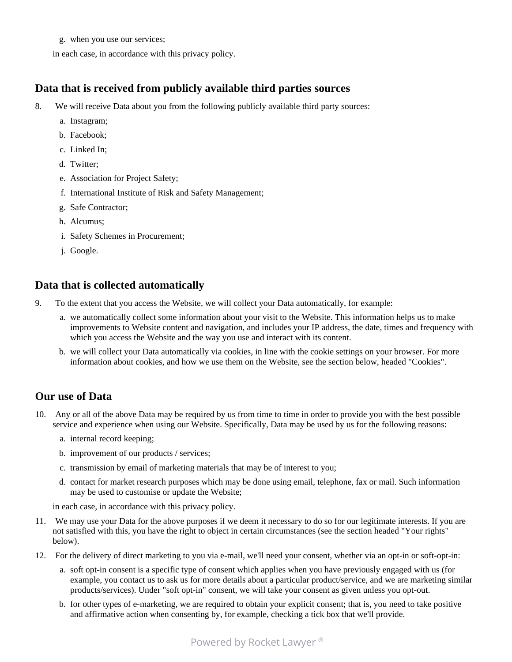g. when you use our services;

in each case, in accordance with this privacy policy.

# **Data that is received from publicly available third parties sources**

- 8. We will receive Data about you from the following publicly available third party sources:
	- a. Instagram;
	- b. Facebook;
	- c. Linked In;
	- d. Twitter;
	- e. Association for Project Safety;
	- f. International Institute of Risk and Safety Management;
	- g. Safe Contractor;
	- h. Alcumus;
	- i. Safety Schemes in Procurement;
	- j. Google.

# **Data that is collected automatically**

- 9. To the extent that you access the Website, we will collect your Data automatically, for example:
	- a. we automatically collect some information about your visit to the Website. This information helps us to make improvements to Website content and navigation, and includes your IP address, the date, times and frequency with which you access the Website and the way you use and interact with its content.
	- b. we will collect your Data automatically via cookies, in line with the cookie settings on your browser. For more information about cookies, and how we use them on the Website, see the section below, headed "Cookies".

### **Our use of Data**

- 10. Any or all of the above Data may be required by us from time to time in order to provide you with the best possible service and experience when using our Website. Specifically, Data may be used by us for the following reasons:
	- a. internal record keeping;
	- b. improvement of our products / services;
	- c. transmission by email of marketing materials that may be of interest to you;
	- d. contact for market research purposes which may be done using email, telephone, fax or mail. Such information may be used to customise or update the Website;

in each case, in accordance with this privacy policy.

- 11. We may use your Data for the above purposes if we deem it necessary to do so for our legitimate interests. If you are not satisfied with this, you have the right to object in certain circumstances (see the section headed "Your rights" below).
- 12. For the delivery of direct marketing to you via e-mail, we'll need your consent, whether via an opt-in or soft-opt-in:
	- a. soft opt-in consent is a specific type of consent which applies when you have previously engaged with us (for example, you contact us to ask us for more details about a particular product/service, and we are marketing similar products/services). Under "soft opt-in" consent, we will take your consent as given unless you opt-out.
	- b. for other types of e-marketing, we are required to obtain your explicit consent; that is, you need to take positive and affirmative action when consenting by, for example, checking a tick box that we'll provide.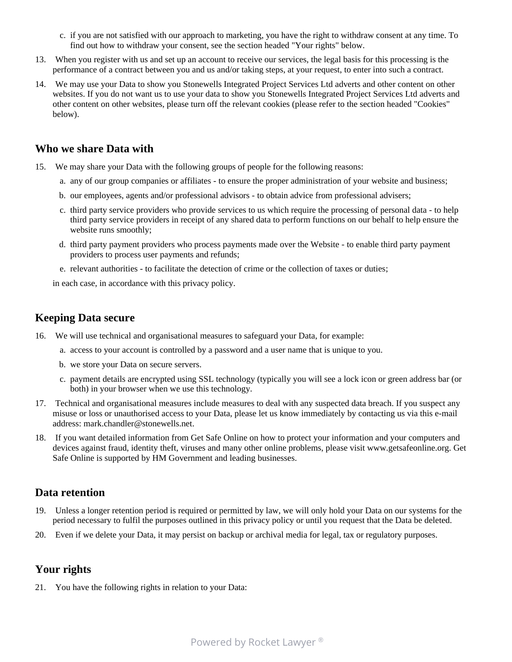- c. if you are not satisfied with our approach to marketing, you have the right to withdraw consent at any time. To find out how to withdraw your consent, see the section headed "Your rights" below.
- 13. When you register with us and set up an account to receive our services, the legal basis for this processing is the performance of a contract between you and us and/or taking steps, at your request, to enter into such a contract.
- 14. We may use your Data to show you Stonewells Integrated Project Services Ltd adverts and other content on other websites. If you do not want us to use your data to show you Stonewells Integrated Project Services Ltd adverts and other content on other websites, please turn off the relevant cookies (please refer to the section headed "Cookies" below).

#### **Who we share Data with**

- 15. We may share your Data with the following groups of people for the following reasons:
	- a. any of our group companies or affiliates to ensure the proper administration of your website and business;
	- b. our employees, agents and/or professional advisors to obtain advice from professional advisers;
	- c. third party service providers who provide services to us which require the processing of personal data to help third party service providers in receipt of any shared data to perform functions on our behalf to help ensure the website runs smoothly;
	- d. third party payment providers who process payments made over the Website to enable third party payment providers to process user payments and refunds;
	- e. relevant authorities to facilitate the detection of crime or the collection of taxes or duties;

in each case, in accordance with this privacy policy.

### **Keeping Data secure**

- 16. We will use technical and organisational measures to safeguard your Data, for example:
	- a. access to your account is controlled by a password and a user name that is unique to you.
	- b. we store your Data on secure servers.
	- c. payment details are encrypted using SSL technology (typically you will see a lock icon or green address bar (or both) in your browser when we use this technology.
- 17. Technical and organisational measures include measures to deal with any suspected data breach. If you suspect any misuse or loss or unauthorised access to your Data, please let us know immediately by contacting us via this e-mail address: mark.chandler@stonewells.net.
- 18. If you want detailed information from Get Safe Online on how to protect your information and your computers and devices against fraud, identity theft, viruses and many other online problems, please visit www.getsafeonline.org. Get Safe Online is supported by HM Government and leading businesses.

### **Data retention**

- 19. Unless a longer retention period is required or permitted by law, we will only hold your Data on our systems for the period necessary to fulfil the purposes outlined in this privacy policy or until you request that the Data be deleted.
- 20. Even if we delete your Data, it may persist on backup or archival media for legal, tax or regulatory purposes.

# **Your rights**

21. You have the following rights in relation to your Data: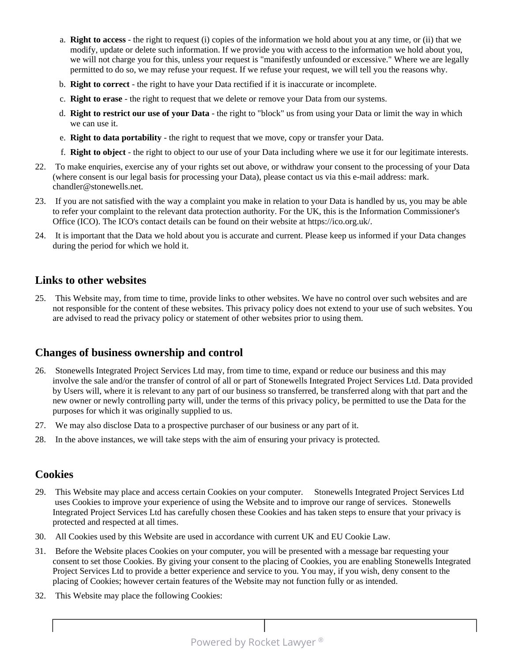- a. **Right to access** the right to request (i) copies of the information we hold about you at any time, or (ii) that we modify, update or delete such information. If we provide you with access to the information we hold about you, we will not charge you for this, unless your request is "manifestly unfounded or excessive." Where we are legally permitted to do so, we may refuse your request. If we refuse your request, we will tell you the reasons why.
- b. **Right to correct** the right to have your Data rectified if it is inaccurate or incomplete.
- c. **Right to erase** the right to request that we delete or remove your Data from our systems.
- d. **Right to restrict our use of your Data** the right to "block" us from using your Data or limit the way in which we can use it.
- e. **Right to data portability** the right to request that we move, copy or transfer your Data.
- f. **Right to object** the right to object to our use of your Data including where we use it for our legitimate interests.
- 22. To make enquiries, exercise any of your rights set out above, or withdraw your consent to the processing of your Data (where consent is our legal basis for processing your Data), please contact us via this e-mail address: mark. chandler@stonewells.net.
- 23. If you are not satisfied with the way a complaint you make in relation to your Data is handled by us, you may be able to refer your complaint to the relevant data protection authority. For the UK, this is the Information Commissioner's Office (ICO). The ICO's contact details can be found on their website at https://ico.org.uk/.
- 24. It is important that the Data we hold about you is accurate and current. Please keep us informed if your Data changes during the period for which we hold it.

#### **Links to other websites**

25. This Website may, from time to time, provide links to other websites. We have no control over such websites and are not responsible for the content of these websites. This privacy policy does not extend to your use of such websites. You are advised to read the privacy policy or statement of other websites prior to using them.

### **Changes of business ownership and control**

- 26. Stonewells Integrated Project Services Ltd may, from time to time, expand or reduce our business and this may involve the sale and/or the transfer of control of all or part of Stonewells Integrated Project Services Ltd. Data provided by Users will, where it is relevant to any part of our business so transferred, be transferred along with that part and the new owner or newly controlling party will, under the terms of this privacy policy, be permitted to use the Data for the purposes for which it was originally supplied to us.
- 27. We may also disclose Data to a prospective purchaser of our business or any part of it.
- 28. In the above instances, we will take steps with the aim of ensuring your privacy is protected.

#### **Cookies**

- 29. This Website may place and access certain Cookies on your computer. Stonewells Integrated Project Services Ltd uses Cookies to improve your experience of using the Website and to improve our range of services. Stonewells Integrated Project Services Ltd has carefully chosen these Cookies and has taken steps to ensure that your privacy is protected and respected at all times.
- 30. All Cookies used by this Website are used in accordance with current UK and EU Cookie Law.
- 31. Before the Website places Cookies on your computer, you will be presented with a message bar requesting your consent to set those Cookies. By giving your consent to the placing of Cookies, you are enabling Stonewells Integrated Project Services Ltd to provide a better experience and service to you. You may, if you wish, deny consent to the placing of Cookies; however certain features of the Website may not function fully or as intended.
- 32. This Website may place the following Cookies:

**Powered by Rocket Lawyer ®**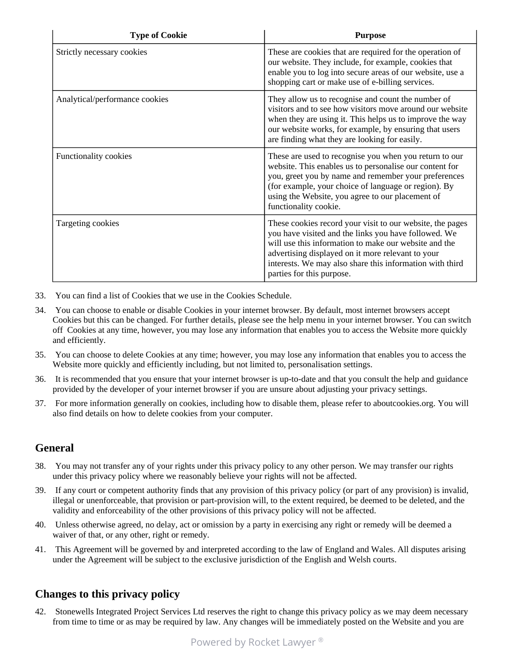| <b>Type of Cookie</b>          | <b>Purpose</b>                                                                                                                                                                                                                                                                                                           |
|--------------------------------|--------------------------------------------------------------------------------------------------------------------------------------------------------------------------------------------------------------------------------------------------------------------------------------------------------------------------|
| Strictly necessary cookies     | These are cookies that are required for the operation of<br>our website. They include, for example, cookies that<br>enable you to log into secure areas of our website, use a<br>shopping cart or make use of e-billing services.                                                                                        |
| Analytical/performance cookies | They allow us to recognise and count the number of<br>visitors and to see how visitors move around our website<br>when they are using it. This helps us to improve the way<br>our website works, for example, by ensuring that users<br>are finding what they are looking for easily.                                    |
| Functionality cookies          | These are used to recognise you when you return to our<br>website. This enables us to personalise our content for<br>you, greet you by name and remember your preferences<br>(for example, your choice of language or region). By<br>using the Website, you agree to our placement of<br>functionality cookie.           |
| Targeting cookies              | These cookies record your visit to our website, the pages<br>you have visited and the links you have followed. We<br>will use this information to make our website and the<br>advertising displayed on it more relevant to your<br>interests. We may also share this information with third<br>parties for this purpose. |

- 33. You can find a list of Cookies that we use in the Cookies Schedule.
- 34. You can choose to enable or disable Cookies in your internet browser. By default, most internet browsers accept Cookies but this can be changed. For further details, please see the help menu in your internet browser. You can switch off Cookies at any time, however, you may lose any information that enables you to access the Website more quickly and efficiently.
- 35. You can choose to delete Cookies at any time; however, you may lose any information that enables you to access the Website more quickly and efficiently including, but not limited to, personalisation settings.
- 36. It is recommended that you ensure that your internet browser is up-to-date and that you consult the help and guidance provided by the developer of your internet browser if you are unsure about adjusting your privacy settings.
- 37. For more information generally on cookies, including how to disable them, please refer to aboutcookies.org. You will also find details on how to delete cookies from your computer.

### **General**

- 38. You may not transfer any of your rights under this privacy policy to any other person. We may transfer our rights under this privacy policy where we reasonably believe your rights will not be affected.
- 39. If any court or competent authority finds that any provision of this privacy policy (or part of any provision) is invalid, illegal or unenforceable, that provision or part-provision will, to the extent required, be deemed to be deleted, and the validity and enforceability of the other provisions of this privacy policy will not be affected.
- 40. Unless otherwise agreed, no delay, act or omission by a party in exercising any right or remedy will be deemed a waiver of that, or any other, right or remedy.
- 41. This Agreement will be governed by and interpreted according to the law of England and Wales. All disputes arising under the Agreement will be subject to the exclusive jurisdiction of the English and Welsh courts.

# **Changes to this privacy policy**

42. Stonewells Integrated Project Services Ltd reserves the right to change this privacy policy as we may deem necessary from time to time or as may be required by law. Any changes will be immediately posted on the Website and you are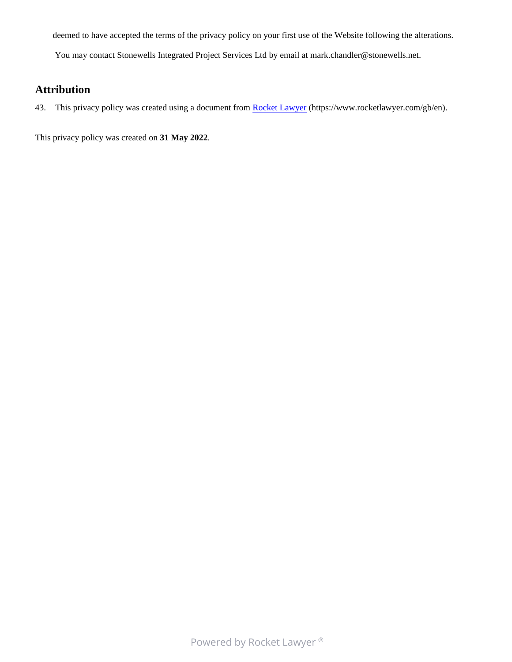deemed to have accepted the terms of the privacy policy on your first use of the Website following the alterations.

You may contact Stonewells Integrated Project Services Ltd by email at mark.chandler@stonewells.net.

# **Attribution**

43. This privacy policy was created using a document from [Rocket Lawyer](https://www.rocketlawyer.com/gb/en/) (https://www.rocketlawyer.com/gb/en).

This privacy policy was created on **31 May 2022**.